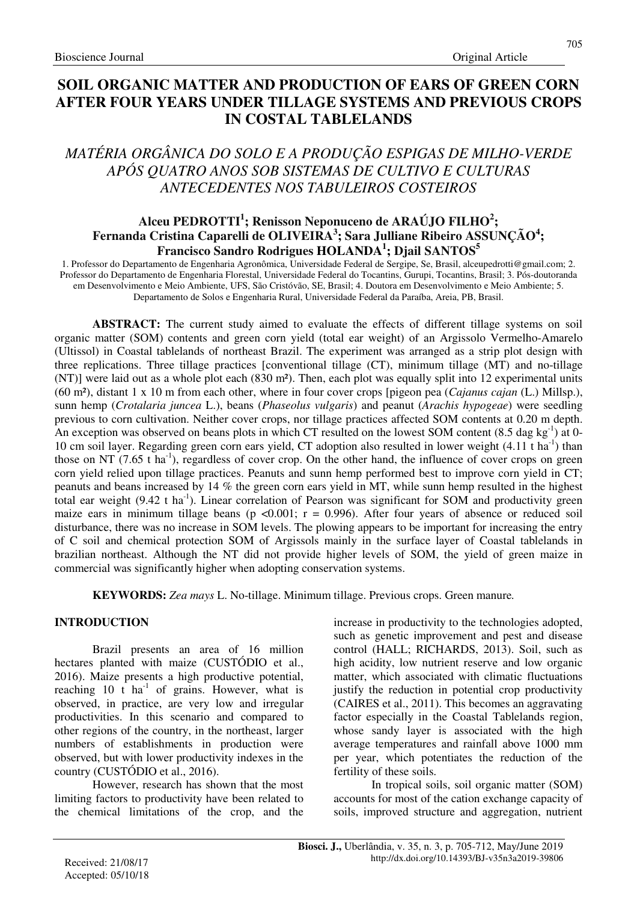# **SOIL ORGANIC MATTER AND PRODUCTION OF EARS OF GREEN CORN AFTER FOUR YEARS UNDER TILLAGE SYSTEMS AND PREVIOUS CROPS IN COSTAL TABLELANDS**

# *MATÉRIA ORGÂNICA DO SOLO E A PRODUÇÃO ESPIGAS DE MILHO-VERDE APÓS QUATRO ANOS SOB SISTEMAS DE CULTIVO E CULTURAS ANTECEDENTES NOS TABULEIROS COSTEIROS*

## **Alceu PEDROTTI<sup>1</sup> ; Renisson Neponuceno de ARAÚJO FILHO<sup>2</sup> ; Fernanda Cristina Caparelli de OLIVEIRA<sup>3</sup> ; Sara Julliane Ribeiro ASSUNÇÃO<sup>4</sup> ; Francisco Sandro Rodrigues HOLANDA<sup>1</sup> ; Djail SANTOS<sup>5</sup>**

1. Professor do Departamento de Engenharia Agronômica, Universidade Federal de Sergipe, Se, Brasil, alceupedrotti@gmail.com; 2. Professor do Departamento de Engenharia Florestal, Universidade Federal do Tocantins, Gurupi, Tocantins, Brasil; 3. Pós-doutoranda em Desenvolvimento e Meio Ambiente, UFS, São Cristóvão, SE, Brasil; 4. Doutora em Desenvolvimento e Meio Ambiente; 5. Departamento de Solos e Engenharia Rural, Universidade Federal da Paraíba, Areia, PB, Brasil.

**ABSTRACT:** The current study aimed to evaluate the effects of different tillage systems on soil organic matter (SOM) contents and green corn yield (total ear weight) of an Argissolo Vermelho-Amarelo (Ultissol) in Coastal tablelands of northeast Brazil. The experiment was arranged as a strip plot design with three replications. Three tillage practices [conventional tillage (CT), minimum tillage (MT) and no-tillage (NT)] were laid out as a whole plot each (830 m²). Then, each plot was equally split into 12 experimental units (60 m²), distant 1 x 10 m from each other, where in four cover crops [pigeon pea (*Cajanus cajan* (L.) Millsp.), sunn hemp (*Crotalaria juncea* L.), beans (*Phaseolus vulgaris*) and peanut (*Arachis hypogeae*) were seedling previous to corn cultivation. Neither cover crops, nor tillage practices affected SOM contents at 0.20 m depth. An exception was observed on beans plots in which CT resulted on the lowest SOM content (8.5 dag kg<sup>-1</sup>) at 0-10 cm soil layer. Regarding green corn ears yield, CT adoption also resulted in lower weight  $(4.11 \text{ t} \text{ ha}^{-1})$  than those on NT (7.65 t ha<sup>-1</sup>), regardless of cover crop. On the other hand, the influence of cover crops on green corn yield relied upon tillage practices. Peanuts and sunn hemp performed best to improve corn yield in CT; peanuts and beans increased by 14 % the green corn ears yield in MT, while sunn hemp resulted in the highest total ear weight  $(9.42 \text{ t} \text{ ha}^{-1})$ . Linear correlation of Pearson was significant for SOM and productivity green maize ears in minimum tillage beans ( $p \le 0.001$ ;  $r = 0.996$ ). After four years of absence or reduced soil disturbance, there was no increase in SOM levels. The plowing appears to be important for increasing the entry of C soil and chemical protection SOM of Argissols mainly in the surface layer of Coastal tablelands in brazilian northeast. Although the NT did not provide higher levels of SOM, the yield of green maize in commercial was significantly higher when adopting conservation systems.

**KEYWORDS:** *Zea mays* L. No-tillage. Minimum tillage. Previous crops. Green manure*.* 

## **INTRODUCTION**

Brazil presents an area of 16 million hectares planted with maize (CUSTÓDIO et al., 2016). Maize presents a high productive potential, reaching 10  $\hat{t}$  ha<sup>-1</sup> of grains. However, what is observed, in practice, are very low and irregular productivities. In this scenario and compared to other regions of the country, in the northeast, larger numbers of establishments in production were observed, but with lower productivity indexes in the country (CUSTÓDIO et al., 2016).

However, research has shown that the most limiting factors to productivity have been related to the chemical limitations of the crop, and the increase in productivity to the technologies adopted, such as genetic improvement and pest and disease control (HALL; RICHARDS, 2013). Soil, such as high acidity, low nutrient reserve and low organic matter, which associated with climatic fluctuations justify the reduction in potential crop productivity (CAIRES et al., 2011). This becomes an aggravating factor especially in the Coastal Tablelands region, whose sandy layer is associated with the high average temperatures and rainfall above 1000 mm per year, which potentiates the reduction of the fertility of these soils.

In tropical soils, soil organic matter (SOM) accounts for most of the cation exchange capacity of soils, improved structure and aggregation, nutrient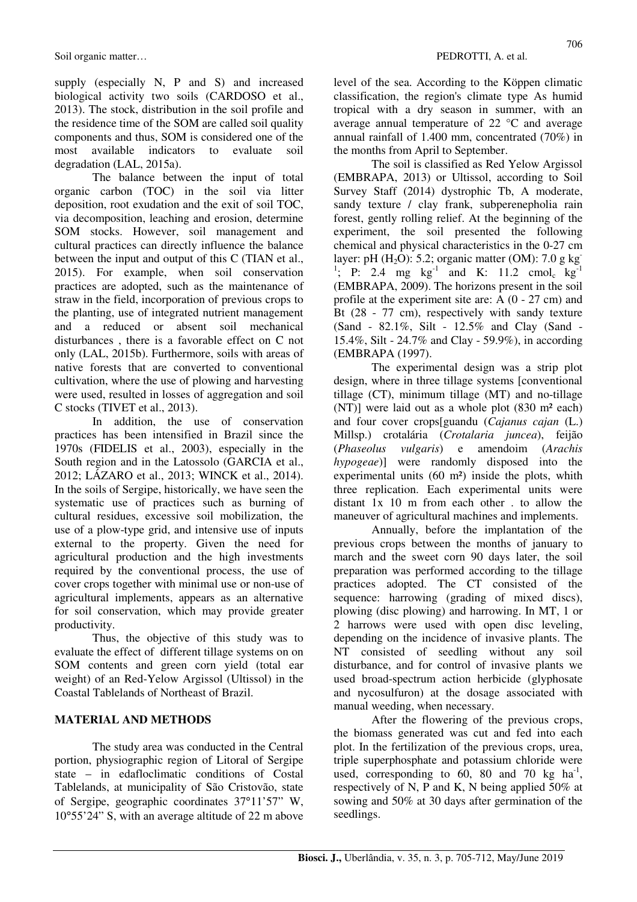supply (especially N, P and S) and increased biological activity two soils (CARDOSO et al., 2013). The stock, distribution in the soil profile and the residence time of the SOM are called soil quality components and thus, SOM is considered one of the most available indicators to evaluate soil degradation (LAL, 2015a).

The balance between the input of total organic carbon (TOC) in the soil via litter deposition, root exudation and the exit of soil TOC, via decomposition, leaching and erosion, determine SOM stocks. However, soil management and cultural practices can directly influence the balance between the input and output of this C (TIAN et al., 2015). For example, when soil conservation practices are adopted, such as the maintenance of straw in the field, incorporation of previous crops to the planting, use of integrated nutrient management and a reduced or absent soil mechanical disturbances , there is a favorable effect on C not only (LAL, 2015b). Furthermore, soils with areas of native forests that are converted to conventional cultivation, where the use of plowing and harvesting were used, resulted in losses of aggregation and soil C stocks (TIVET et al., 2013).

In addition, the use of conservation practices has been intensified in Brazil since the 1970s (FIDELIS et al., 2003), especially in the South region and in the Latossolo (GARCIA et al., 2012; LÁZARO et al., 2013; WINCK et al., 2014). In the soils of Sergipe, historically, we have seen the systematic use of practices such as burning of cultural residues, excessive soil mobilization, the use of a plow-type grid, and intensive use of inputs external to the property. Given the need for agricultural production and the high investments required by the conventional process, the use of cover crops together with minimal use or non-use of agricultural implements, appears as an alternative for soil conservation, which may provide greater productivity.

Thus, the objective of this study was to evaluate the effect of different tillage systems on on SOM contents and green corn yield (total ear weight) of an Red-Yelow Argissol (Ultissol) in the Coastal Tablelands of Northeast of Brazil.

#### **MATERIAL AND METHODS**

The study area was conducted in the Central portion, physiographic region of Litoral of Sergipe state – in edafloclimatic conditions of Costal Tablelands, at municipality of São Cristovão, state of Sergipe, geographic coordinates 37°11'57" W, 10°55'24" S, with an average altitude of 22 m above level of the sea. According to the Köppen climatic classification, the region's climate type As humid tropical with a dry season in summer, with an average annual temperature of 22 °C and average annual rainfall of 1.400 mm, concentrated (70%) in the months from April to September.

The soil is classified as Red Yelow Argissol (EMBRAPA, 2013) or Ultissol, according to Soil Survey Staff (2014) dystrophic Tb, A moderate, sandy texture / clay frank, subperenepholia rain forest, gently rolling relief. At the beginning of the experiment, the soil presented the following chemical and physical characteristics in the 0-27 cm layer: pH (H<sub>2</sub>O): 5.2; organic matter (OM): 7.0 g kg <sup>1</sup>; P: 2.4 mg kg<sup>-1</sup> and K: 11.2 cmol<sub>c</sub> kg<sup>-1</sup> (EMBRAPA, 2009). The horizons present in the soil profile at the experiment site are: A (0 - 27 cm) and Bt (28 - 77 cm), respectively with sandy texture (Sand - 82.1%, Silt - 12.5% and Clay (Sand - 15.4%, Silt - 24.7% and Clay - 59.9%), in according (EMBRAPA (1997).

The experimental design was a strip plot design, where in three tillage systems [conventional tillage (CT), minimum tillage (MT) and no-tillage (NT)] were laid out as a whole plot (830 m² each) and four cover crops[guandu (*Cajanus cajan* (L.) Millsp.) crotalária (*Crotalaria juncea*), feijão (*Phaseolus vulgaris*) e amendoim (*Arachis hypogeae*)] were randomly disposed into the experimental units (60 m²) inside the plots, whith three replication. Each experimental units were distant 1x 10 m from each other . to allow the maneuver of agricultural machines and implements.

Annually, before the implantation of the previous crops between the months of january to march and the sweet corn 90 days later, the soil preparation was performed according to the tillage practices adopted. The CT consisted of the sequence: harrowing (grading of mixed discs), plowing (disc plowing) and harrowing. In MT, 1 or 2 harrows were used with open disc leveling, depending on the incidence of invasive plants. The NT consisted of seedling without any soil disturbance, and for control of invasive plants we used broad-spectrum action herbicide (glyphosate and nycosulfuron) at the dosage associated with manual weeding, when necessary.

After the flowering of the previous crops, the biomass generated was cut and fed into each plot. In the fertilization of the previous crops, urea, triple superphosphate and potassium chloride were used, corresponding to  $60$ , 80 and 70 kg ha<sup>-1</sup>, respectively of N, P and K, N being applied 50% at sowing and 50% at 30 days after germination of the seedlings.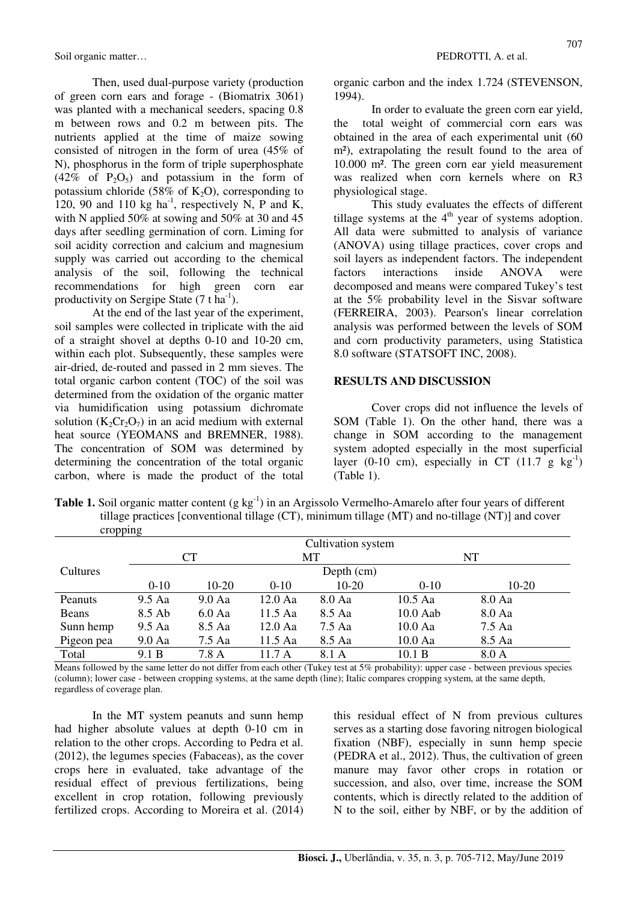Soil organic matter… **PEDROTTI, A.** et al.

Then, used dual-purpose variety (production of green corn ears and forage - (Biomatrix 3061) was planted with a mechanical seeders, spacing 0.8 m between rows and 0.2 m between pits. The nutrients applied at the time of maize sowing consisted of nitrogen in the form of urea (45% of N), phosphorus in the form of triple superphosphate  $(42\% \text{ of } P_2O_5)$  and potassium in the form of potassium chloride (58% of  $K_2O$ ), corresponding to 120, 90 and 110  $kg$  ha<sup>-1</sup>, respectively N, P and K, with N applied 50% at sowing and 50% at 30 and 45 days after seedling germination of corn. Liming for soil acidity correction and calcium and magnesium supply was carried out according to the chemical analysis of the soil, following the technical recommendations for high green corn ear productivity on Sergipe State  $(7 \text{ t} \text{ ha}^{-1})$ .

At the end of the last year of the experiment, soil samples were collected in triplicate with the aid of a straight shovel at depths 0-10 and 10-20 cm, within each plot. Subsequently, these samples were air-dried, de-routed and passed in 2 mm sieves. The total organic carbon content (TOC) of the soil was determined from the oxidation of the organic matter via humidification using potassium dichromate solution  $(K_2Cr_2O_7)$  in an acid medium with external heat source (YEOMANS and BREMNER, 1988). The concentration of SOM was determined by determining the concentration of the total organic carbon, where is made the product of the total organic carbon and the index 1.724 (STEVENSON, 1994).

In order to evaluate the green corn ear yield, the total weight of commercial corn ears was obtained in the area of each experimental unit (60 m<sup>2</sup>), extrapolating the result found to the area of 10.000 m². The green corn ear yield measurement was realized when corn kernels where on R3 physiological stage.

This study evaluates the effects of different tillage systems at the  $4<sup>th</sup>$  year of systems adoption. All data were submitted to analysis of variance (ANOVA) using tillage practices, cover crops and soil layers as independent factors. The independent factors interactions inside ANOVA were decomposed and means were compared Tukey's test at the 5% probability level in the Sisvar software (FERREIRA, 2003). Pearson's linear correlation analysis was performed between the levels of SOM and corn productivity parameters, using Statistica 8.0 software (STATSOFT INC, 2008).

### **RESULTS AND DISCUSSION**

Cover crops did not influence the levels of SOM (Table 1). On the other hand, there was a change in SOM according to the management system adopted especially in the most superficial layer (0-10 cm), especially in CT  $(11.7 \text{ g kg}^{-1})$ (Table 1).

| <b>Table 1.</b> Soil organic matter content (g $kg^{-1}$ ) in an Argissolo Vermelho-Amarelo after four years of different |
|---------------------------------------------------------------------------------------------------------------------------|
| tillage practices [conventional tillage (CT), minimum tillage (MT) and no-tillage (NT)] and cover                         |
| cropping                                                                                                                  |

| $\mathbf{u}$           |                    |                 |           |        |            |        |  |  |
|------------------------|--------------------|-----------------|-----------|--------|------------|--------|--|--|
|                        | Cultivation system |                 |           |        |            |        |  |  |
|                        | <b>CT</b>          |                 | MТ        |        |            | NT     |  |  |
| Cultures<br>Depth (cm) |                    |                 |           |        |            |        |  |  |
|                        | $0 - 10$           | $10-20$         | $0 - 10$  | 10-20  | $0 - 10$   | 10-20  |  |  |
| Peanuts                | 9.5 Aa             | $9.0\text{ Aa}$ | 12.0 Aa   | 8.0 Aa | $10.5$ Aa  | 8.0 Aa |  |  |
| Beans                  | 8.5 Ab             | $6.0$ Aa        | 11.5 Aa   | 8.5 Aa | $10.0$ Aab | 8.0 Aa |  |  |
| Sunn hemp              | $9.5$ Aa           | 8.5 Aa          | $12.0$ Aa | 7.5 Aa | $10.0$ Aa  | 7.5 Aa |  |  |
| Pigeon pea             | $9.0\text{ Aa}$    | 7.5 Aa          | 11.5 Aa   | 8.5 Aa | $10.0$ Aa  | 8.5 Aa |  |  |
| Total                  | 9.1 B              | 7.8 A           | 11.7A     | 8.1 A  | 10.1 B     | 8.0 A  |  |  |

Means followed by the same letter do not differ from each other (Tukey test at 5% probability): upper case - between previous species (column); lower case - between cropping systems, at the same depth (line); Italic compares cropping system, at the same depth, regardless of coverage plan.

In the MT system peanuts and sunn hemp had higher absolute values at depth 0-10 cm in relation to the other crops. According to Pedra et al. (2012), the legumes species (Fabaceas), as the cover crops here in evaluated, take advantage of the residual effect of previous fertilizations, being excellent in crop rotation, following previously fertilized crops. According to Moreira et al. (2014) this residual effect of N from previous cultures serves as a starting dose favoring nitrogen biological fixation (NBF), especially in sunn hemp specie (PEDRA et al., 2012). Thus, the cultivation of green manure may favor other crops in rotation or succession, and also, over time, increase the SOM contents, which is directly related to the addition of N to the soil, either by NBF, or by the addition of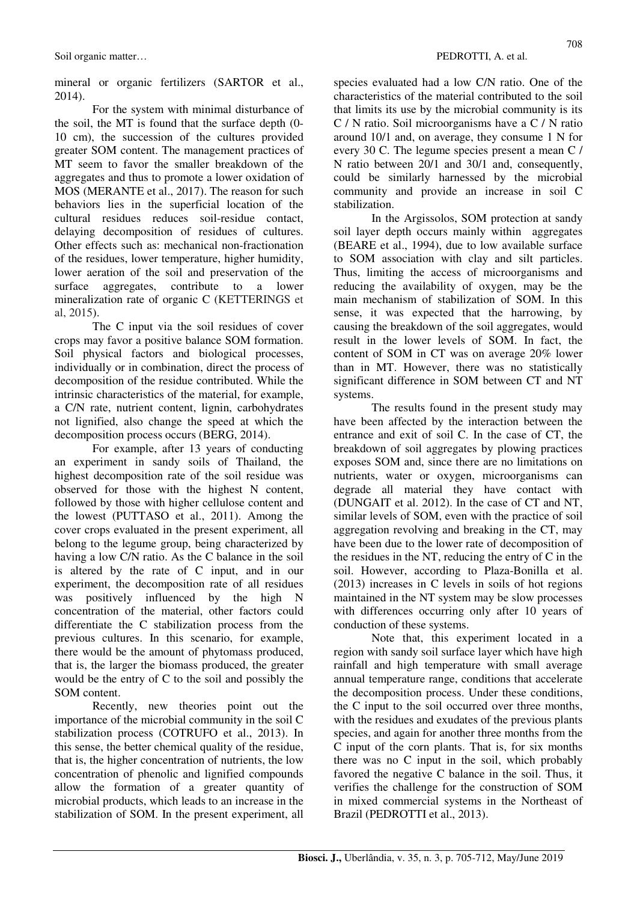mineral or organic fertilizers (SARTOR et al., 2014).

For the system with minimal disturbance of the soil, the MT is found that the surface depth (0- 10 cm), the succession of the cultures provided greater SOM content. The management practices of MT seem to favor the smaller breakdown of the aggregates and thus to promote a lower oxidation of MOS (MERANTE et al., 2017). The reason for such behaviors lies in the superficial location of the cultural residues reduces soil-residue contact, delaying decomposition of residues of cultures. Other effects such as: mechanical non-fractionation of the residues, lower temperature, higher humidity, lower aeration of the soil and preservation of the surface aggregates, contribute to a lower mineralization rate of organic C (KETTERINGS et al, 2015).

The C input via the soil residues of cover crops may favor a positive balance SOM formation. Soil physical factors and biological processes, individually or in combination, direct the process of decomposition of the residue contributed. While the intrinsic characteristics of the material, for example, a C/N rate, nutrient content, lignin, carbohydrates not lignified, also change the speed at which the decomposition process occurs (BERG, 2014).

For example, after 13 years of conducting an experiment in sandy soils of Thailand, the highest decomposition rate of the soil residue was observed for those with the highest N content, followed by those with higher cellulose content and the lowest (PUTTASO et al., 2011). Among the cover crops evaluated in the present experiment, all belong to the legume group, being characterized by having a low C/N ratio. As the C balance in the soil is altered by the rate of C input, and in our experiment, the decomposition rate of all residues was positively influenced by the high N concentration of the material, other factors could differentiate the C stabilization process from the previous cultures. In this scenario, for example, there would be the amount of phytomass produced, that is, the larger the biomass produced, the greater would be the entry of C to the soil and possibly the SOM content.

Recently, new theories point out the importance of the microbial community in the soil C stabilization process (COTRUFO et al., 2013). In this sense, the better chemical quality of the residue, that is, the higher concentration of nutrients, the low concentration of phenolic and lignified compounds allow the formation of a greater quantity of microbial products, which leads to an increase in the stabilization of SOM. In the present experiment, all 708

species evaluated had a low C/N ratio. One of the characteristics of the material contributed to the soil that limits its use by the microbial community is its C / N ratio. Soil microorganisms have a C / N ratio around 10/1 and, on average, they consume 1 N for every 30 C. The legume species present a mean C / N ratio between 20/1 and 30/1 and, consequently, could be similarly harnessed by the microbial community and provide an increase in soil C stabilization.

In the Argissolos, SOM protection at sandy soil layer depth occurs mainly within aggregates (BEARE et al., 1994), due to low available surface to SOM association with clay and silt particles. Thus, limiting the access of microorganisms and reducing the availability of oxygen, may be the main mechanism of stabilization of SOM. In this sense, it was expected that the harrowing, by causing the breakdown of the soil aggregates, would result in the lower levels of SOM. In fact, the content of SOM in CT was on average 20% lower than in MT. However, there was no statistically significant difference in SOM between CT and NT systems.

The results found in the present study may have been affected by the interaction between the entrance and exit of soil C. In the case of CT, the breakdown of soil aggregates by plowing practices exposes SOM and, since there are no limitations on nutrients, water or oxygen, microorganisms can degrade all material they have contact with (DUNGAIT et al. 2012). In the case of CT and NT, similar levels of SOM, even with the practice of soil aggregation revolving and breaking in the CT, may have been due to the lower rate of decomposition of the residues in the NT, reducing the entry of C in the soil. However, according to Plaza-Bonilla et al. (2013) increases in C levels in soils of hot regions maintained in the NT system may be slow processes with differences occurring only after 10 years of conduction of these systems.

Note that, this experiment located in a region with sandy soil surface layer which have high rainfall and high temperature with small average annual temperature range, conditions that accelerate the decomposition process. Under these conditions, the C input to the soil occurred over three months, with the residues and exudates of the previous plants species, and again for another three months from the C input of the corn plants. That is, for six months there was no C input in the soil, which probably favored the negative C balance in the soil. Thus, it verifies the challenge for the construction of SOM in mixed commercial systems in the Northeast of Brazil (PEDROTTI et al., 2013).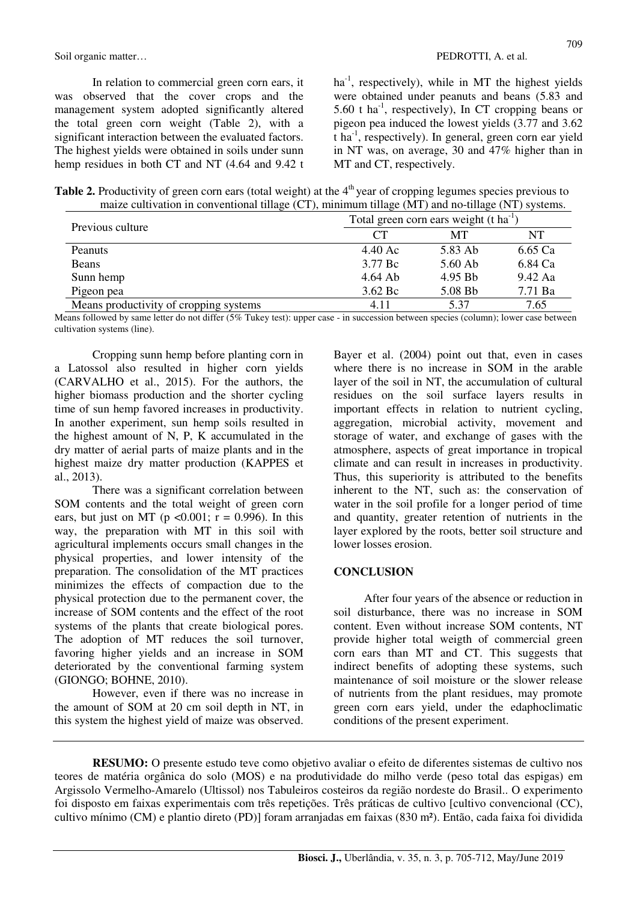In relation to commercial green corn ears, it was observed that the cover crops and the management system adopted significantly altered the total green corn weight (Table 2), with a significant interaction between the evaluated factors. The highest yields were obtained in soils under sunn hemp residues in both CT and NT (4.64 and 9.42 t

 $ha^{-1}$ , respectively), while in MT the highest yields were obtained under peanuts and beans (5.83 and 5.60 t ha<sup>-1</sup>, respectively), In CT cropping beans or pigeon pea induced the lowest yields (3.77 and 3.62 t ha-1, respectively). In general, green corn ear yield in NT was, on average, 30 and 47% higher than in MT and CT, respectively.

| Table 2. Productivity of green corn ears (total weight) at the $4th$ year of cropping legumes species previous to |
|-------------------------------------------------------------------------------------------------------------------|
| maize cultivation in conventional tillage $(CT)$ , minimum tillage $(MT)$ and no-tillage $(NT)$ systems.          |

|                                        | Total green corn ears weight $(t \text{ ha}^{-1})$ |           |           |  |  |
|----------------------------------------|----------------------------------------------------|-----------|-----------|--|--|
| Previous culture                       | CТ                                                 | MТ        | NT        |  |  |
| Peanuts                                | $4.40 \text{ Ac}$                                  | 5.83 Ab   | 6.65 Ca   |  |  |
| Beans                                  | 3.77 Bc                                            | $5.60$ Ab | 6.84 Ca   |  |  |
| Sunn hemp                              | $4.64$ Ab                                          | 4.95 Bb   | $9.42$ Aa |  |  |
| Pigeon pea                             | $3.62\,\mathrm{Bc}$                                | 5.08 Bb   | 7.71 Ba   |  |  |
| Means productivity of cropping systems | 4.11                                               | 5.37      | 7.65      |  |  |

Means followed by same letter do not differ (5% Tukey test): upper case - in succession between species (column); lower case between cultivation systems (line).

Cropping sunn hemp before planting corn in a Latossol also resulted in higher corn yields (CARVALHO et al., 2015). For the authors, the higher biomass production and the shorter cycling time of sun hemp favored increases in productivity. In another experiment, sun hemp soils resulted in the highest amount of N, P, K accumulated in the dry matter of aerial parts of maize plants and in the highest maize dry matter production (KAPPES et al., 2013).

There was a significant correlation between SOM contents and the total weight of green corn ears, but just on MT ( $p < 0.001$ ;  $r = 0.996$ ). In this way, the preparation with MT in this soil with agricultural implements occurs small changes in the physical properties, and lower intensity of the preparation. The consolidation of the MT practices minimizes the effects of compaction due to the physical protection due to the permanent cover, the increase of SOM contents and the effect of the root systems of the plants that create biological pores. The adoption of MT reduces the soil turnover, favoring higher yields and an increase in SOM deteriorated by the conventional farming system (GIONGO; BOHNE, 2010).

However, even if there was no increase in the amount of SOM at 20 cm soil depth in NT, in this system the highest yield of maize was observed. Bayer et al. (2004) point out that, even in cases where there is no increase in SOM in the arable layer of the soil in NT, the accumulation of cultural residues on the soil surface layers results in important effects in relation to nutrient cycling, aggregation, microbial activity, movement and storage of water, and exchange of gases with the atmosphere, aspects of great importance in tropical climate and can result in increases in productivity. Thus, this superiority is attributed to the benefits inherent to the NT, such as: the conservation of water in the soil profile for a longer period of time and quantity, greater retention of nutrients in the layer explored by the roots, better soil structure and lower losses erosion.

#### **CONCLUSION**

After four years of the absence or reduction in soil disturbance, there was no increase in SOM content. Even without increase SOM contents, NT provide higher total weigth of commercial green corn ears than MT and CT. This suggests that indirect benefits of adopting these systems, such maintenance of soil moisture or the slower release of nutrients from the plant residues, may promote green corn ears yield, under the edaphoclimatic conditions of the present experiment.

**RESUMO:** O presente estudo teve como objetivo avaliar o efeito de diferentes sistemas de cultivo nos teores de matéria orgânica do solo (MOS) e na produtividade do milho verde (peso total das espigas) em Argissolo Vermelho-Amarelo (Ultissol) nos Tabuleiros costeiros da região nordeste do Brasil.. O experimento foi disposto em faixas experimentais com três repetições. Três práticas de cultivo [cultivo convencional (CC), cultivo mínimo (CM) e plantio direto (PD)] foram arranjadas em faixas (830 m²). Então, cada faixa foi dividida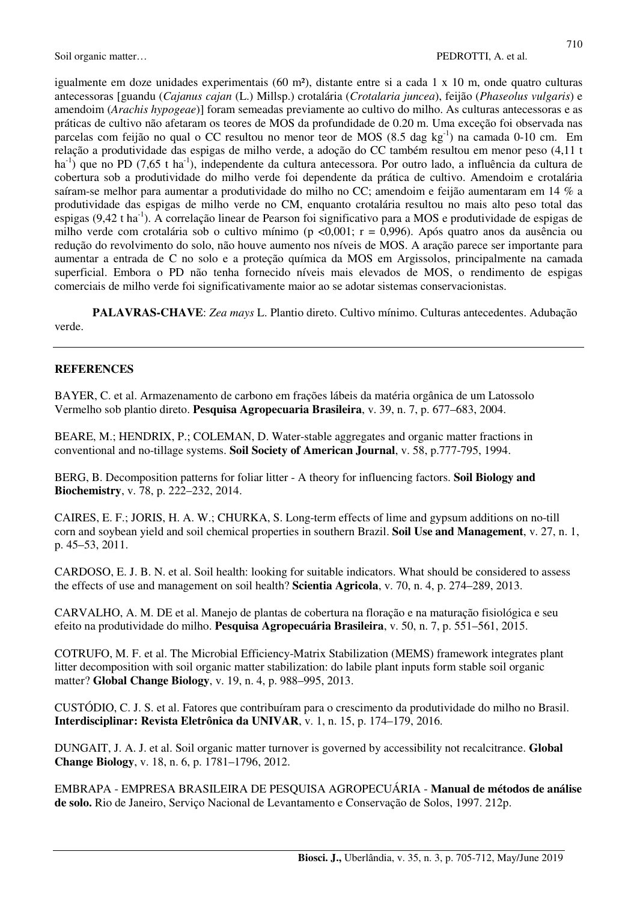igualmente em doze unidades experimentais (60 m²), distante entre si a cada 1 x 10 m, onde quatro culturas antecessoras [guandu (*Cajanus cajan* (L.) Millsp.) crotalária (*Crotalaria juncea*), feijão (*Phaseolus vulgaris*) e amendoim (*Arachis hypogeae*)] foram semeadas previamente ao cultivo do milho. As culturas antecessoras e as práticas de cultivo não afetaram os teores de MOS da profundidade de 0.20 m. Uma exceção foi observada nas parcelas com feijão no qual o CC resultou no menor teor de MOS (8.5 dag kg<sup>-1</sup>) na camada 0-10 cm. Em relação a produtividade das espigas de milho verde, a adoção do CC também resultou em menor peso (4,11 t ha<sup>-1</sup>) que no PD (7,65 t ha<sup>-1</sup>), independente da cultura antecessora. Por outro lado, a influência da cultura de cobertura sob a produtividade do milho verde foi dependente da prática de cultivo. Amendoim e crotalária saíram-se melhor para aumentar a produtividade do milho no CC; amendoim e feijão aumentaram em 14 % a produtividade das espigas de milho verde no CM, enquanto crotalária resultou no mais alto peso total das espigas (9,42 t ha-1). A correlação linear de Pearson foi significativo para a MOS e produtividade de espigas de milho verde com crotalária sob o cultivo mínimo (p <0,001;  $r = 0.996$ ). Após quatro anos da ausência ou redução do revolvimento do solo, não houve aumento nos níveis de MOS. A aração parece ser importante para aumentar a entrada de C no solo e a proteção química da MOS em Argissolos, principalmente na camada superficial. Embora o PD não tenha fornecido níveis mais elevados de MOS, o rendimento de espigas comerciais de milho verde foi significativamente maior ao se adotar sistemas conservacionistas.

**PALAVRAS-CHAVE**: *Zea mays* L. Plantio direto. Cultivo mínimo. Culturas antecedentes. Adubação verde.

### **REFERENCES**

BAYER, C. et al. Armazenamento de carbono em frações lábeis da matéria orgânica de um Latossolo Vermelho sob plantio direto. **Pesquisa Agropecuaria Brasileira**, v. 39, n. 7, p. 677–683, 2004.

BEARE, M.; HENDRIX, P.; COLEMAN, D. Water-stable aggregates and organic matter fractions in conventional and no-tillage systems. **Soil Society of American Journal**, v. 58, p.777-795, 1994.

BERG, B. Decomposition patterns for foliar litter - A theory for influencing factors. **Soil Biology and Biochemistry**, v. 78, p. 222–232, 2014.

CAIRES, E. F.; JORIS, H. A. W.; CHURKA, S. Long-term effects of lime and gypsum additions on no-till corn and soybean yield and soil chemical properties in southern Brazil. **Soil Use and Management**, v. 27, n. 1, p. 45–53, 2011.

CARDOSO, E. J. B. N. et al. Soil health: looking for suitable indicators. What should be considered to assess the effects of use and management on soil health? **Scientia Agricola**, v. 70, n. 4, p. 274–289, 2013.

CARVALHO, A. M. DE et al. Manejo de plantas de cobertura na floração e na maturação fisiológica e seu efeito na produtividade do milho. **Pesquisa Agropecuária Brasileira**, v. 50, n. 7, p. 551–561, 2015.

COTRUFO, M. F. et al. The Microbial Efficiency-Matrix Stabilization (MEMS) framework integrates plant litter decomposition with soil organic matter stabilization: do labile plant inputs form stable soil organic matter? **Global Change Biology**, v. 19, n. 4, p. 988–995, 2013.

CUSTÓDIO, C. J. S. et al. Fatores que contribuíram para o crescimento da produtividade do milho no Brasil. **Interdisciplinar: Revista Eletrônica da UNIVAR**, v. 1, n. 15, p. 174–179, 2016.

DUNGAIT, J. A. J. et al. Soil organic matter turnover is governed by accessibility not recalcitrance. **Global Change Biology**, v. 18, n. 6, p. 1781–1796, 2012.

EMBRAPA - EMPRESA BRASILEIRA DE PESQUISA AGROPECUÁRIA - **Manual de métodos de análise de solo.** Rio de Janeiro, Serviço Nacional de Levantamento e Conservação de Solos, 1997. 212p.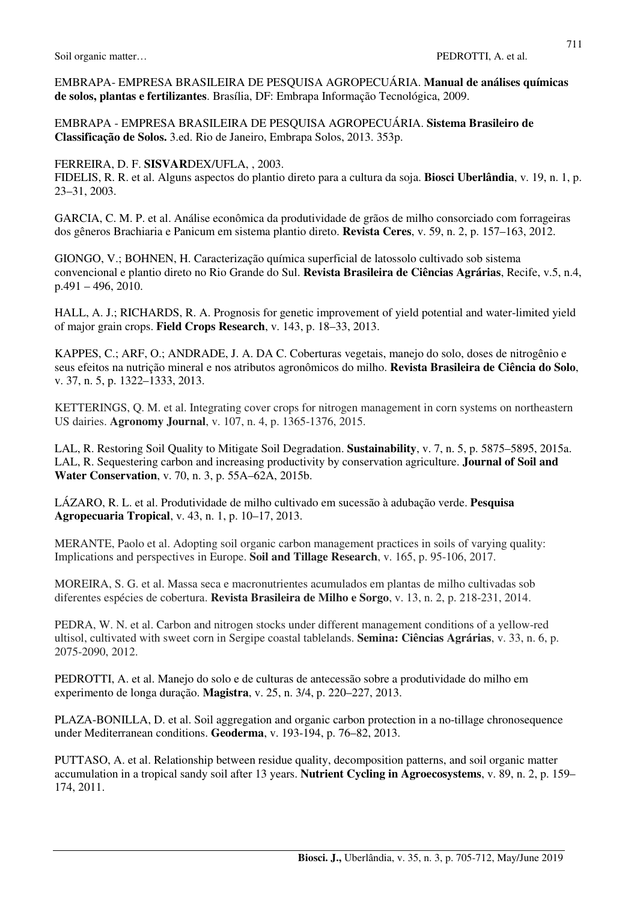EMBRAPA- EMPRESA BRASILEIRA DE PESQUISA AGROPECUÁRIA. **Manual de análises químicas de solos, plantas e fertilizantes**. Brasília, DF: Embrapa Informação Tecnológica, 2009.

EMBRAPA - EMPRESA BRASILEIRA DE PESQUISA AGROPECUÁRIA. **Sistema Brasileiro de Classificação de Solos.** 3.ed. Rio de Janeiro, Embrapa Solos, 2013. 353p.

FERREIRA, D. F. **SISVAR**DEX/UFLA, , 2003.

FIDELIS, R. R. et al. Alguns aspectos do plantio direto para a cultura da soja. **Biosci Uberlândia**, v. 19, n. 1, p. 23–31, 2003.

GARCIA, C. M. P. et al. Análise econômica da produtividade de grãos de milho consorciado com forrageiras dos gêneros Brachiaria e Panicum em sistema plantio direto. **Revista Ceres**, v. 59, n. 2, p. 157–163, 2012.

GIONGO, V.; BOHNEN, H. Caracterização química superficial de latossolo cultivado sob sistema convencional e plantio direto no Rio Grande do Sul. **Revista Brasileira de Ciências Agrárias**, Recife, v.5, n.4, p.491 – 496, 2010.

HALL, A. J.; RICHARDS, R. A. Prognosis for genetic improvement of yield potential and water-limited yield of major grain crops. **Field Crops Research**, v. 143, p. 18–33, 2013.

KAPPES, C.; ARF, O.; ANDRADE, J. A. DA C. Coberturas vegetais, manejo do solo, doses de nitrogênio e seus efeitos na nutrição mineral e nos atributos agronômicos do milho. **Revista Brasileira de Ciência do Solo**, v. 37, n. 5, p. 1322–1333, 2013.

KETTERINGS, Q. M. et al. Integrating cover crops for nitrogen management in corn systems on northeastern US dairies. **Agronomy Journal**, v. 107, n. 4, p. 1365-1376, 2015.

LAL, R. Restoring Soil Quality to Mitigate Soil Degradation. **Sustainability**, v. 7, n. 5, p. 5875–5895, 2015a. LAL, R. Sequestering carbon and increasing productivity by conservation agriculture. **Journal of Soil and Water Conservation**, v. 70, n. 3, p. 55A–62A, 2015b.

LÁZARO, R. L. et al. Produtividade de milho cultivado em sucessão à adubação verde. **Pesquisa Agropecuaria Tropical**, v. 43, n. 1, p. 10–17, 2013.

MERANTE, Paolo et al. Adopting soil organic carbon management practices in soils of varying quality: Implications and perspectives in Europe. **Soil and Tillage Research**, v. 165, p. 95-106, 2017.

MOREIRA, S. G. et al. Massa seca e macronutrientes acumulados em plantas de milho cultivadas sob diferentes espécies de cobertura. **Revista Brasileira de Milho e Sorgo**, v. 13, n. 2, p. 218-231, 2014.

PEDRA, W. N. et al. Carbon and nitrogen stocks under different management conditions of a yellow-red ultisol, cultivated with sweet corn in Sergipe coastal tablelands. **Semina: Ciências Agrárias**, v. 33, n. 6, p. 2075-2090, 2012.

PEDROTTI, A. et al. Manejo do solo e de culturas de antecessão sobre a produtividade do milho em experimento de longa duração. **Magistra**, v. 25, n. 3/4, p. 220–227, 2013.

PLAZA-BONILLA, D. et al. Soil aggregation and organic carbon protection in a no-tillage chronosequence under Mediterranean conditions. **Geoderma**, v. 193-194, p. 76–82, 2013.

PUTTASO, A. et al. Relationship between residue quality, decomposition patterns, and soil organic matter accumulation in a tropical sandy soil after 13 years. **Nutrient Cycling in Agroecosystems**, v. 89, n. 2, p. 159– 174, 2011.